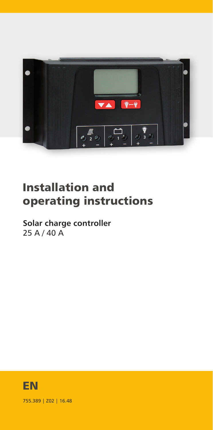

# Installation and operating instructions

**Solar charge controller** 25 A / 40 A



755.389 | Z02 | 16.48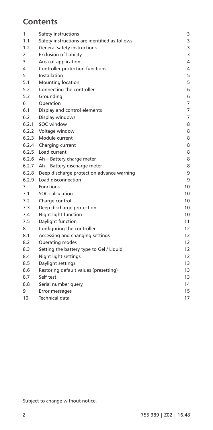# **Contents**

| 1     | Safety instructions                           | 3  |
|-------|-----------------------------------------------|----|
| 1.1   | Safety instructions are identified as follows | 3  |
| 1.2   | General safety instructions                   | 3  |
| 2     | <b>Exclusion of liability</b>                 | 3  |
| 3     | Area of application                           | 4  |
| 4     | Controller protection functions               | 4  |
| 5     | Installation                                  | 5  |
| 5.1   | <b>Mounting location</b>                      | 5  |
| 5.2   | Connecting the controller                     | 6  |
| 5.3   | Grounding                                     | 6  |
| 6     | Operation                                     | 7  |
| 6.1   | Display and control elements                  | 7  |
| 6.2   | Display windows                               | 7  |
|       | 6.2.1 SOC window                              | 8  |
|       | 6.2.2 Voltage window                          | 8  |
|       | 6.2.3 Module current                          | 8  |
|       | 6.2.4 Charging current                        | 8  |
| 6.2.5 | Load current                                  | 8  |
| 6.2.6 | Ah - Battery charge meter                     | 8  |
|       | 6.2.7 Ah - Battery discharge meter            | 8  |
| 6.2.8 | Deep discharge protection advance warning     | 9  |
| 6.2.9 | Load disconnection                            | 9  |
| 7     | <b>Functions</b>                              | 10 |
| 7.1   | SOC calculation                               | 10 |
| 7.2   | Charge control                                | 10 |
| 7.3   | Deep discharge protection                     | 10 |
| 7.4   | Night light function                          | 10 |
| 7.5   | Daylight function                             | 11 |
| 8     | Configuring the controller                    | 12 |
| 8.1   | Accessing and changing settings               | 12 |
| 8.2   | Operating modes                               | 12 |
| 8.3   | Setting the battery type to Gel / Liquid      | 12 |
| 8.4   | Night light settings                          | 12 |
| 8.5   | Daylight settings                             | 13 |
| 8.6   | Restoring default values (presetting)         | 13 |
| 8.7   | Self test                                     | 13 |
| 8.8   | Serial number query                           | 14 |
| 9     | Error messages                                | 15 |
| 10    | <b>Technical data</b>                         | 17 |

Subject to change without notice.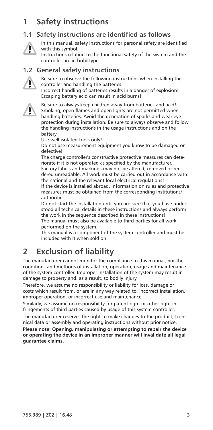# <span id="page-2-0"></span>**1 Safety instructions**

### **1.1 Safety instructions are identified as follows**



In this manual, safety instructions for personal safety are identified with this symbol.

Instructions relating to the functional safety of the system and the controller are in **bold** type.

#### **1.2 General safety instructions**



Be sure to observe the following instructions when installing the controller and handling the batteries: Incorrect handling of batteries results in a danger of explosion! Escaping battery acid can result in acid burns!



Be sure to always keep children away from batteries and acid! Smoking, open flames and open lights are not permitted when handling batteries. Avoid the generation of sparks and wear eye protection during installation. Be sure to always observe and follow the handling instructions in the usage instructions and on the battery.

Use well isolated tools only!

Do not use measurement equipment you know to be damaged or defective!

The charge controller's constructive protective measures can deteriorate if it is not operated as specified by the manufacturer. Factory labels and markings may not be altered, removed or rendered unreadable. All work must be carried out in accordance with the national and the relevant local electrical regulations! If the device is installed abroad, information on rules and protective measures must be obtained from the corresponding institutions/ authorities.

Do not start the installation until you are sure that you have understood all technical details in these instructions and always perform the work in the sequence described in these instructions! The manual must also be available to third parties for all work

performed on the system.

This manual is a component of the system controller and must be included with it when sold on.

# **2 Exclusion of liability**

The manufacturer cannot monitor the compliance to this manual, nor the conditions and methods of installation, operation, usage and maintenance of the system controller. Improper installation of the system may result in damage to property and, as a result, to bodily injury.

Therefore, we assume no responsibility or liability for loss, damage or costs which result from, or are in any way related to, incorrect installation, improper operation, or incorrect use and maintenance.

Similarly, we assume no responsibility for patent right or other right infringements of third parties caused by usage of this system controller.

The manufacturer reserves the right to make changes to the product, technical data or assembly and operating instructions without prior notice.

**Please note: Opening, manipulating or attempting to repair the device or operating the device in an improper manner will invalidate all legal guarantee claims.**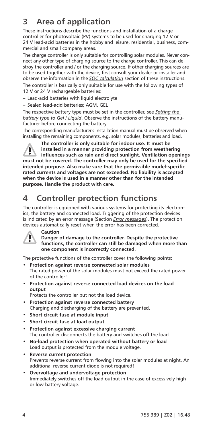# <span id="page-3-0"></span>**3 Area of application**

These instructions describe the functions and installation of a charge controller for photovoltaic (PV) systems to be used for charging 12 V or 24 V lead-acid batteries in the hobby and leisure, residential, business, commercial and small company areas.

The charge controller is only suitable for controlling solar modules. Never connect any other type of charging source to the charge controller. This can destroy the controller and / or the charging source. If other charging sources are to be used together with the device, first consult your dealer or installer and observe the information in the *SOC calculation* section of these instructions. The controller is basically only suitable for use with the following types of 12 V or 24 V rechargeable batteries:

– Lead-acid batteries with liquid electrolyte

– Sealed lead-acid batteries; AGM, GEL

The respective battery type must be set in the controller, see *Setting the battery type to Gel / Liquid*. Observe the instructions of the battery manufacturer before connecting the battery.

The corresponding manufacturer's installation manual must be observed when installing the remaining components, e.g. solar modules, batteries and load.



**The controller is only suitable for indoor use. It must be installed in a manner providing protection from weathering influences such as rain and direct sunlight. Ventilation openings must not be covered. The controller may only be used for the specified intended purpose. Also make sure that the permissible model-specific rated currents and voltages are not exceeded. No liability is accepted when the device is used in a manner other than for the intended purpose. Handle the product with care.**

# **4 Controller protection functions**

The controller is equipped with various systems for protecting its electronics, the battery and connected load. Triggering of the protection devices is indicated by an error message (Section *Error messages*). The protection devices automatically reset when the error has been corrected.



**Caution Danger of damage to the controller. Despite the protective functions, the controller can still be damaged when more than one component is incorrectly connected.**

The protective functions of the controller cover the following points:

- **Protection against reverse connected solar modules** The rated power of the solar modules must not exceed the rated power of the controller!
- **Protection against reverse connected load devices on the load output**

Protects the controller but not the load device.

- **Protection against reverse connected battery** Charging and discharging of the battery are prevented.
- **Short circuit fuse at module input**
- **Short circuit fuse at load output**
- **Protection against excessive charging current** The controller disconnects the battery and switches off the load.
- **No-load protection when operated without battery or load** Load output is protected from the module voltage.
- **Reverse current protection** Prevents reverse current from flowing into the solar modules at night. An additional reverse current diode is not required!
- **Overvoltage and undervoltage protection** Immediately switches off the load output in the case of excessively high or low battery voltage.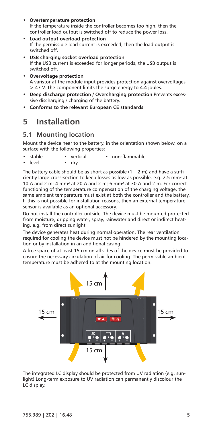- <span id="page-4-0"></span>• **Overtemperature protection** If the temperature inside the controller becomes too high, then the controller load output is switched off to reduce the power loss.
- **Load output overload protection** If the permissible load current is exceeded, then the load output is switched off.
- **USB charging socket overload protection** If the USB current is exceeded for longer periods, the USB output is switched off.
- **Overvoltage protection** A varistor at the module input provides protection against overvoltages > 47 V. The component limits the surge energy to 4.4 joules.
- **Deep discharge protection / Overcharging protection** Prevents excessive discharging / charging of the battery.
- **Conforms to the relevant European CE standards**

# **5 Installation**

### **5.1 Mounting location**

Mount the device near to the battery, in the orientation shown below, on a surface with the following properties:

- stable vertical non-flammable
- level dry

The battery cable should be as short as possible  $(1 - 2 \text{ m})$  and have a sufficiently large cross-section to keep losses as low as possible, e.g. 2.5 mm² at 10 A and 2 m; 4 mm² at 20 A and 2 m; 6 mm² at 30 A and 2 m. For correct functioning of the temperature compensation of the charging voltage, the same ambient temperature must exist at both the controller and the battery. If this is not possible for installation reasons, then an external temperature sensor is available as an optional accessory.

Do not install the controller outside. The device must be mounted protected from moisture, dripping water, spray, rainwater and direct or indirect heating, e.g. from direct sunlight.

The device generates heat during normal operation. The rear ventilation required for cooling the device must not be hindered by the mounting location or by installation in an additional casing.

A free space of at least 15 cm on all sides of the device must be provided to ensure the necessary circulation of air for cooling. The permissible ambient temperature must be adhered to at the mounting location.



The integrated LC display should be protected from UV radiation (e.g. sunlight) Long-term exposure to UV radiation can permanently discolour the LC display.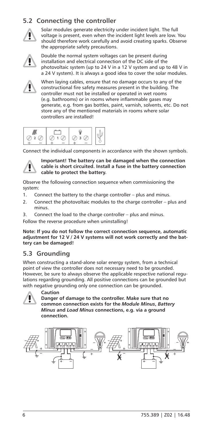### <span id="page-5-0"></span>**5.2 Connecting the controller**



Solar modules generate electricity under incident light. The full voltage is present, even when the incident light levels are low. You should therefore work carefully and avoid creating sparks. Observe the appropriate safety precautions.



Double the normal system voltages can be present during installation and electrical connection of the DC side of the photovoltaic system (up to 24 V in a 12 V system and up to 48 V in a 24 V system). It is always a good idea to cover the solar modules.



When laying cables, ensure that no damage occurs to any of the constructional fire safety measures present in the building. The controller must not be installed or operated in wet rooms (e.g. bathrooms) or in rooms where inflammable gases may generate, e.g. from gas bottles, paint, varnish, solvents, etc. Do not store any of the mentioned materials in rooms where solar controllers are installed!



Connect the individual components in accordance with the shown symbols.



**Important! The battery can be damaged when the connection cable is short circuited. Install a fuse in the battery connection cable to protect the battery.**

Observe the following connection sequence when commissioning the system:

- 1. Connect the battery to the charge controller plus and minus.
- 2. Connect the photovoltaic modules to the charge controller plus and minus.
- 3. Connect the load to the charge controller plus and minus.
- Follow the reverse procedure when uninstalling!

**Note: If you do not follow the correct connection sequence, automatic adjustment for 12 V / 24 V systems will not work correctly and the battery can be damaged!**

### **5.3 Grounding**

When constructing a stand-alone solar energy system, from a technical point of view the controller does not necessary need to be grounded. However, be sure to always observe the applicable respective national regulations regarding grounding. All positive connections can be grounded but with negative grounding only one connection can be grounded.



#### **Caution**

**Danger of damage to the controller. Make sure that no common connection exists for the** *Module Minus***,** *Battery Minus* **and** *Load Minus* **connections, e.g. via a ground connection.** 

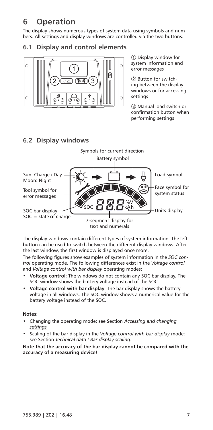# <span id="page-6-0"></span>**6 Operation**

The display shows numerous types of system data using symbols and numbers. All settings and display windows are controlled via the two buttons.

#### **6.1 Display and control elements**



**6.2 Display windows**

 Display window for system information and error messages

2 Button for switching between the display windows or for accessing settings

 Manual load switch or confirmation button when performing settings

#### $\frac{1}{2}$ Soc **kata kah**  $\frac{1}{2}$ Kah  $\frac{1}{2}$ Kah Symbols for current direction Battery symbol Load symbol Face symbol for system status Units display Sun: Charge / Day Moon: Night Tool symbol for error messages SOC bar display SOC = **s**tate **o**f **c**harge 7-segment display for text and numerals

The display windows contain different types of system information. The left button can be used to switch between the different display windows. After the last window, the first window is displayed once more.

The following figures show examples of system information in the *SOC control* operating mode. The following differences exist in the *Voltage control* and *Voltage control with bar display* operating modes:

- **Voltage control**: The windows do not contain any SOC bar display. The SOC window shows the battery voltage instead of the SOC.
- **Voltage control with bar display**: The bar display shows the battery voltage in all windows. The SOC window shows a numerical value for the battery voltage instead of the SOC.

**Notes:**

- Changing the operating mode: see Section *Accessing and changing settings.*
- Scaling of the bar display in the *Voltage control with bar display* mode: see Section *Technical data / Bar display scaling*.

**Note that the accuracy of the bar display cannot be compared with the accuracy of a measuring device!**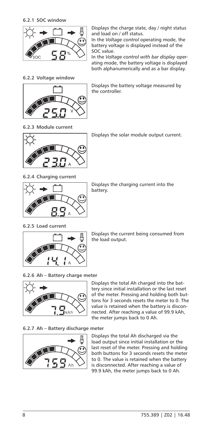<span id="page-7-0"></span>**6.2.1 SOC window**



Displays the charge state, day / night status and load on / off status.

In the *Voltage control* operating mode, the battery voltage is displayed instead of the SOC value.

In the *Voltage control with bar display* operating mode, the battery voltage is displayed both alphanumerically and as a bar display.

**6.2.2 Voltage window**



Displays the battery voltage measured by the controller.

**6.2.3 Module current**



Displays the solar module output current.

**6.2.4 Charging current**



Displays the charging current into the battery.

**6.2.5 Load current**



Displays the current being consumed from the load output.

**6.2.6 Ah – Battery charge meter**



Displays the total Ah charged into the battery since initial installation or the last reset of the meter. Pressing and holding both buttons for 3 seconds resets the meter to 0. The value is retained when the battery is disconnected. After reaching a value of 99.9 kAh, the meter jumps back to 0 Ah.

**6.2.7 Ah – Battery discharge meter**



Displays the total Ah discharged via the load output since initial installation or the last reset of the meter. Pressing and holding both buttons for 3 seconds resets the meter to 0. The value is retained when the battery is disconnected. After reaching a value of 99.9 kAh, the meter jumps back to 0 Ah.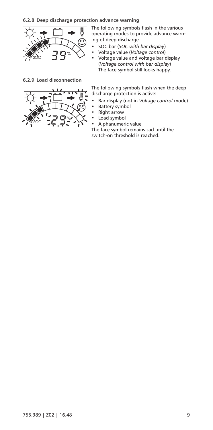<span id="page-8-0"></span>

**6.2.9 Load disconnection**



The following symbols flash in the various operating modes to provide advance warning of deep discharge.

- SOC bar (*SOC with bar display*)
- Voltage value (*Voltage control*) • Voltage value and voltage bar display (*Voltage control with bar display*) The face symbol still looks happy.

The following symbols flash when the deep discharge protection is active:

- Bar display (not in *Voltage control* mode)
- Battery symbol<br>• Right arrow
- Right arrow<br>• Load symbo
- Load symbol
- Alphanumeric value

The face symbol remains sad until the switch-on threshold is reached.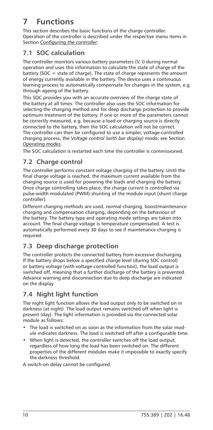# <span id="page-9-0"></span>**7 Functions**

This section describes the basic functions of the charge controller. Operation of the controller is described under the respective menu items in Section *Configuring the controller*.

## **7.1 SOC calculation**

The controller monitors various battery parameters (V, I) during normal operation and uses this information to calculate the state of charge of the battery (SOC = state of charge). The state of charge represents the amount of energy currently available in the battery. The device uses a continuous learning process to automatically compensate for changes in the system, e.g through ageing of the battery.

This SOC provides you with an accurate overview of the charge state of the battery at all times. The controller also uses the SOC information for selecting the charging method and for deep discharge protection to provide optimum treatment of the battery. If one or more of the parameters cannot be correctly measured, e.g. because a load or charging source is directly connected to the battery, then the SOC calculation will not be correct. The controller can then be configured to use a simpler, voltage-controlled charging process, the *Voltage control (with bar display)* mode; see Section *Operating modes*.

The SOC calculation is restarted each time the controller is commissioned.

### **7.2 Charge control**

The controller performs constant voltage charging of the battery. Until the final charge voltage is reached, the maximum current available from the charging source is used for powering the loads and charging the battery. Once charge controlling takes place, the charge current is controlled via pulse-width modulated (PWM) shunting of the module input (shunt charge controller).

Different charging methods are used, normal charging, boost/maintenance charging and compensation charging, depending on the behaviour of the battery. The battery type and operating mode settings are taken into account. The final charge voltage is temperature compensated. A test is automatically performed every 30 days to see if maintenance charging is required.

## **7.3 Deep discharge protection**

The controller protects the connected battery from excessive discharging. If the battery drops below a specified charge level (during SOC control) or battery voltage (with voltage-controlled function), the load output is switched off, meaning that a further discharge of the battery is prevented. Advance warning and disconnection due to deep discharge are indicated on the display.

# **7.4 Night light function**

The night light function allows the load output only to be switched on in darkness (at night). The load output remains switched off when light is present (day). The light information is provided via the connected solar module as follows:

- The load is switched on as soon as the information from the solar module indicates darkness. The load is switched off after a configurable time.
- When light is detected, the controller switches off the load output, regardless of how long the load has been switched on. The different properties of the different modules make it impossible to exactly specify the darkness threshold.

A switch-on delay cannot be configured.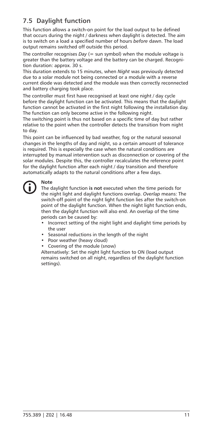## <span id="page-10-0"></span>**7.5 Daylight function**

This function allows a switch-on point for the load output to be defined that occurs during the night / darkness when daylight is detected. The aim is to switch on a load a specified number of hours *before* dawn. The load output remains switched off outside this period.

The controller recognises *Day* (= sun symbol) when the module voltage is greater than the battery voltage and the battery can be charged. Recognition duration: approx. 30 s.

This duration extends to 15 minutes, when *Night* was previously detected due to a solar module not being connected or a module with a reverse current diode was detected and the module was then correctly reconnected and battery charging took place.

The controller must first have recognised at least one night / day cycle before the daylight function can be activated. This means that the daylight function cannot be activated in the first night following the installation day. The function can only become active in the following night.

The switching point is thus not based on a specific time of day but rather relative to the point when the controller detects the transition from night to day.

This point can be influenced by bad weather, fog or the natural seasonal changes in the lengths of day and night, so a certain amount of tolerance is required. This is especially the case when the natural conditions are interrupted by manual intervention such as disconnection or covering of the solar modules. Despite this, the controller recalculates the reference point for the daylight function after each night / day transition and therefore automatically adapts to the natural conditions after a few days.



#### **Note**

The daylight function **is not** executed when the time periods for the night light and daylight functions overlap. *Overlap* means: The switch-off point of the night light function lies after the switch-on point of the daylight function. When the night light function ends, then the daylight function will also end. An overlap of the time periods can be caused by:

- Incorrect setting of the night light and daylight time periods by the user
- Seasonal reductions in the length of the night
- Poor weather (heavy cloud)
- Covering of the module (snow)

Alternatively: Set the night light function to ON (load output remains switched on all night, regardless of the daylight function settings).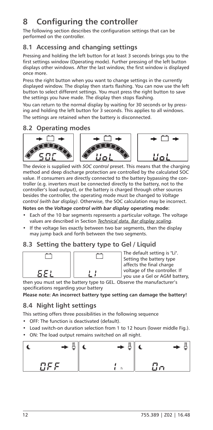# <span id="page-11-0"></span>**8 Configuring the controller**

The following section describes the configuration settings that can be performed on the controller.

### **8.1 Accessing and changing settings**

Pressing and holding the left button for at least 3 seconds brings you to the first settings window (Operating mode). Further pressing of the left button displays other windows. After the last window, the first window is displayed once more.

Press the right button when you want to change settings in the currently displayed window. The display then starts flashing. You can now use the left button to select different settings. You must press the right button to save the settings you have made. The display then stops flashing.

You can return to the normal display by waiting for 30 seconds or by pressing and holding the left button for 3 seconds. This applies to all windows.

The settings are retained when the battery is disconnected.

### **8.2 Operating modes**



The device is supplied with *SOC control* preset. This means that the charging method and deep discharge protection are controlled by the calculated SOC value. If consumers are directly connected to the battery bypassing the controller (e.g. inverters must be connected directly to the battery, not to the controller's load output), or the battery is charged through other sources besides the controller, the operating mode must be changed to *Voltage control (with bar display)*. Otherwise, the SOC calculation may be incorrect. **Notes on the** *Voltage control with bar display* **operating mode:**

- Each of the 10 bar segments represents a particular voltage. The voltage values are described in Section *Technical data, Bar display scaling*.
- If the voltage lies exactly between two bar segments, then the display may jump back and forth between the two segments.

### **8.3 Setting the battery type to Gel / Liquid**



The default setting is "Li". Setting the battery type affects the final charge voltage of the controller. If you use a Gel or AGM battery,

then you must set the battery type to GEL. Observe the manufacturer's specifications regarding your battery

**Please note: An incorrect battery type setting can damage the battery!**

### **8.4 Night light settings**

This setting offers three possibilities in the following sequence

- OFF: The function is deactivated (default).
- Load switch-on duration selection from 1 to 12 hours (lower middle Fig.).
- ON: The load output remains switched on all night.

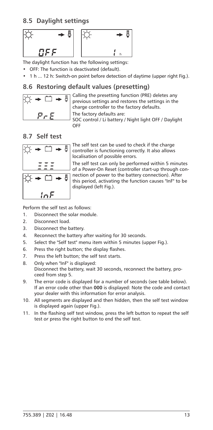### <span id="page-12-0"></span>**8.5 Daylight settings**



The daylight function has the following settings:

• OFF: The function is deactivated (default).

• 1 h ... 12 h: Switch-on point before detection of daytime (upper right Fig.).

#### **8.6 Restoring default values (presetting)**



Calling the presetting function (PRE) deletes any previous settings and restores the settings in the charge controller to the factory defaults. The factory defaults are: SOC control / Li battery / Night light OFF / Daylight OFF

### **8.7 Self test**



The self test can be used to check if the charge controller is functioning correctly. It also allows localisation of possible errors.

The self test can only be performed within 5 minutes of a Power-On Reset (controller start-up through connection of power to the battery connection). After this period, activating the function causes "InF" to be displayed (left Fig.).

Perform the self test as follows:

- 1. Disconnect the solar module.
- 2. Disconnect load.
- 3. Disconnect the battery.
- 4. Reconnect the battery after waiting for 30 seconds.
- <span id="page-12-1"></span>5. Select the "Self test" menu item within 5 minutes (upper Fig.).
- 6. Press the right button; the display flashes.
- 7. Press the left button; the self test starts.
- 8. Only when "InF" is displayed: Disconnect the battery, wait 30 seconds, reconnect the battery, proceed from step [5](#page-12-1).
- 9. The error code is displayed for a number of seconds (see table below). If an error code other than **000** is displayed: Note the code and contact your dealer with this information for error analysis.
- 10. All segments are displayed and then hidden, then the self test window is displayed again (upper Fig.).
- 11. In the flashing self test window, press the left button to repeat the self test *or* press the right button to end the self test.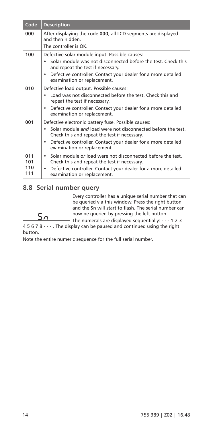<span id="page-13-0"></span>

| Code                     | <b>Description</b>                                                                                                                                                                                                                                                       |
|--------------------------|--------------------------------------------------------------------------------------------------------------------------------------------------------------------------------------------------------------------------------------------------------------------------|
| 000                      | After displaying the code 000, all LCD segments are displayed<br>and then hidden.<br>The controller is OK.                                                                                                                                                               |
| 100                      | Defective solar module input. Possible causes:<br>Solar module was not disconnected before the test. Check this<br>and repeat the test if necessary.<br>Defective controller. Contact your dealer for a more detailed<br>٠<br>examination or replacement.                |
| 010                      | Defective load output. Possible causes:<br>Load was not disconnected before the test. Check this and<br>repeat the test if necessary.<br>Defective controller. Contact your dealer for a more detailed<br>٠<br>examination or replacement.                               |
| 001                      | Defective electronic battery fuse. Possible causes:<br>Solar module and load were not disconnected before the test.<br>Check this and repeat the test if necessary.<br>Defective controller. Contact your dealer for a more detailed<br>٠<br>examination or replacement. |
| 011<br>101<br>110<br>111 | Solar module or load were not disconnected before the test.<br>٠<br>Check this and repeat the test if necessary.<br>Defective controller. Contact your dealer for a more detailed<br>$\bullet$<br>examination or replacement.                                            |

### **8.8 Serial number query**

Every controller has a unique serial number that can be queried via this window. Press the right button and the Sn will start to flash. The serial number can now be queried by pressing the left button.

The numerals are displayed sequentially: - - - 1 2 3 4 5 6 7 8 - - - . The display can be paused and continued using the right button.

Note the entire numeric sequence for the full serial number.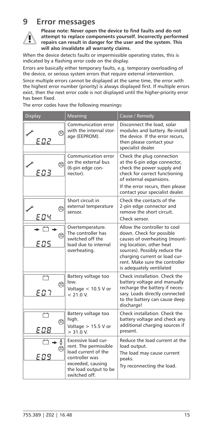# <span id="page-14-0"></span>**9 Error messages**



**Please note: Never open the device to find faults and do not attempt to replace components yourself. Incorrectly performed repairs can result in danger for the user and the system. This will also invalidate all warranty claims.**

When the device detects faults or impermissible operating states, this is indicated by a flashing error code on the display.

Errors are basically either temporary faults, e.g. temporary overloading of the device, or serious system errors that require external intervention.

Since multiple errors cannot be displayed at the same time, the error with the highest error number (priority) is always displayed first. If multiple errors exist, then the next error code is not displayed until the higher-priority error has been fixed.

The error codes have the following meanings:

| <b>Display</b>   | Meaning                                                                                                                                             | Cause / Remedy                                                                                                                                                                                                                                        |
|------------------|-----------------------------------------------------------------------------------------------------------------------------------------------------|-------------------------------------------------------------------------------------------------------------------------------------------------------------------------------------------------------------------------------------------------------|
| g<br>E O 2       | <b>Communication error</b><br>with the internal stor-<br>age (EEPROM).                                                                              | Disconnect the load, solar<br>modules and battery. Re-install<br>the device. If the error recurs,<br>then please contact your<br>specialist dealer.                                                                                                   |
| Â<br>E D 3       | Communication error<br>on the external bus<br>(6-pin edge con-<br>nector).                                                                          | Check the plug connection<br>at the 6-pin edge connector,<br>check the power supply and<br>check for correct functioning<br>of external expansions.<br>If the error recurs, then please<br>contact your specialist dealer.                            |
| ⋐<br>ЕОЧ         | Short circuit in<br>external temperature<br>sensor                                                                                                  | Check the contacts of the<br>2-pin edge connector and<br>remove the short circuit.<br>Check sensor.                                                                                                                                                   |
| 冥                | Overtemperature.<br>The controller has<br>switched off the<br>load due to internal<br>overheating.                                                  | Allow the controller to cool<br>down. Check for possible<br>causes of overheating (mount-<br>ing location, other heat<br>sources). Possibly reduce the<br>charging current or load cur-<br>rent. Make sure the controller<br>is adequately ventilated |
| €<br>E N J       | Battery voltage too<br>low.<br>Voltage $< 10.5$ V or<br>< 210V                                                                                      | Check installation. Check the<br>battery voltage and manually<br>recharge the battery if neces-<br>sary. Loads directly connected<br>to the battery can cause deep<br>discharge!                                                                      |
| Q<br>E O 8       | Battery voltage too<br>high.<br>Voltage $> 15.5$ V or<br>> 31.0 V                                                                                   | Check installation. Check the<br>battery voltage and check any<br>additional charging sources if<br>present.                                                                                                                                          |
| 69<br>T<br>E 0 9 | Excessive load cur-<br>rent. The permissible<br>load current of the<br>controller was<br>exceeded, causing<br>the load output to be<br>awitched off | Reduce the load current at the<br>load output.<br>The load may cause current<br>peaks.<br>Try reconnecting the load.                                                                                                                                  |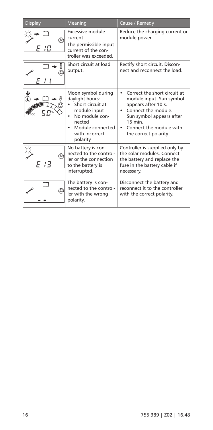| <b>Display</b> | Meaning                                                                                                                                                 | Cause / Remedy                                                                                                                                                                                      |
|----------------|---------------------------------------------------------------------------------------------------------------------------------------------------------|-----------------------------------------------------------------------------------------------------------------------------------------------------------------------------------------------------|
| B<br>10        | Excessive module<br>current.<br>The permissible input<br>current of the con-<br>troller was exceeded.                                                   | Reduce the charging current or<br>module power.                                                                                                                                                     |
| ම              | Short circuit at load<br>output.                                                                                                                        | Rectify short circuit. Discon-<br>nect and reconnect the load.                                                                                                                                      |
| д<br>รภะ       | Moon symbol during<br>daylight hours:<br>Short circuit at<br>module input<br>No module con-<br>nected<br>Module connected<br>with incorrect<br>polarity | Correct the short circuit at<br>module input. Sun symbol<br>appears after 10 s.<br>Connect the module.<br>Sun symbol appears after<br>$15$ min.<br>Connect the module with<br>the correct polarity. |
| 13             | No battery is con-<br>nected to the control-<br>ler or the connection<br>to the battery is<br>interrupted.                                              | Controller is supplied only by<br>the solar modules. Connect<br>the battery and replace the<br>fuse in the battery cable if<br>necessary.                                                           |
| A              | The battery is con-<br>nected to the control-<br>ler with the wrong<br>polarity.                                                                        | Disconnect the battery and<br>reconnect it to the controller<br>with the correct polarity.                                                                                                          |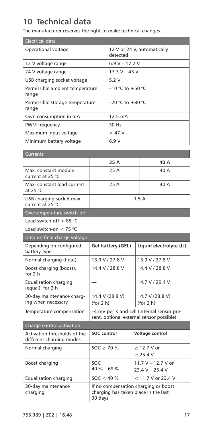# <span id="page-16-0"></span>**10 Technical data**

The manufacturer reserves the right to make technical changes.

| <b>Electrical data</b>                   |                                         |
|------------------------------------------|-----------------------------------------|
| Operational voltage                      | 12 V or 24 V, automatically<br>detected |
| 12 V voltage range                       | $6.9 V - 17.2 V$                        |
| 24 V voltage range                       | $17.3 V - 43 V$                         |
| USB charging socket voltage              | 5.2V                                    |
| Permissible ambient temperature<br>range | $-10$ °C to $+50$ °C                    |
| Permissible storage temperature<br>range | $-20$ °C to $+80$ °C                    |
| Own consumption in mA                    | $12.5 \text{ mA}$                       |
| PWM frequency                            | 30 Hz                                   |
| Maximum input voltage                    | $<$ 47 V                                |
| Minimum battery voltage                  | 6.9 V                                   |

| Currents                                                 |                                                                                          |                                         |  |
|----------------------------------------------------------|------------------------------------------------------------------------------------------|-----------------------------------------|--|
|                                                          | 25 A                                                                                     | 40 A                                    |  |
| Max. constant module<br>current at 25 °C                 | 25 A                                                                                     | 40 A                                    |  |
| Max. constant load current<br>at 25 $°C$                 | 25 A                                                                                     | 40 A                                    |  |
| USB charging socket max.<br>current at 25 °C             | 1.5A                                                                                     |                                         |  |
| Overtemperature switch-off                               |                                                                                          |                                         |  |
| Load switch-off $> 85$ °C                                |                                                                                          |                                         |  |
| Load switch-on $<$ 75 °C                                 |                                                                                          |                                         |  |
| Data on final charge voltage                             |                                                                                          |                                         |  |
| Depending on configured<br>battery type                  | Gel battery (GEL)                                                                        | Liquid electrolyte (Li)                 |  |
| Normal charging (float)                                  | 13.9 V / 27.8 V                                                                          | 13.9 V / 27.8 V                         |  |
| Boost charging (boost),<br>for $2h$                      | 14.4 V / 28.8 V                                                                          | 14.4 V / 28.8 V                         |  |
| <b>Equalisation charging</b><br>(equal), for 2 h         |                                                                                          | 14.7 V / 29.4 V                         |  |
| 30-day maintenance charg-<br>ing when necessary          | 14.4 V (28.8 V)<br>(for 2 h)                                                             | 14.7 V (28.8 V)<br>(for 2 h)            |  |
| Temperature compensation                                 | -4 mV per K and cell (internal sensor pre-<br>sent, optional external sensor possible)   |                                         |  |
| Charge control activation                                |                                                                                          |                                         |  |
| Activation thresholds of the<br>different charging modes | SOC control                                                                              | Voltage control                         |  |
| Normal charging                                          | $SOC \ge 70 \%$                                                                          | $\geq 12.7$ V or<br>> 25.4 V            |  |
| Boost charging                                           | SOC<br>$40 \% - 69 \%$                                                                   | 11.7 V - 12.7 V or<br>$23.4 V - 25.4 V$ |  |
| <b>Equalisation charging</b>                             | $SOC < 40 \%$                                                                            | $< 11.7$ V or 23.4 V                    |  |
| 30-day maintenance<br>charging                           | If no compensation charging or boost<br>charging has taken place in the last<br>30 days. |                                         |  |